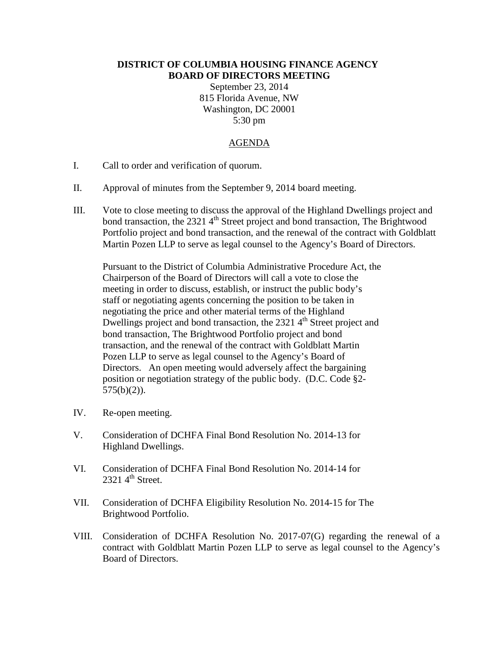## **DISTRICT OF COLUMBIA HOUSING FINANCE AGENCY BOARD OF DIRECTORS MEETING**

September 23, 2014 815 Florida Avenue, NW Washington, DC 20001 5:30 pm

## AGENDA

- I. Call to order and verification of quorum.
- II. Approval of minutes from the September 9, 2014 board meeting.
- III. Vote to close meeting to discuss the approval of the Highland Dwellings project and bond transaction, the  $23214^{\text{th}}$  Street project and bond transaction, The Brightwood Portfolio project and bond transaction, and the renewal of the contract with Goldblatt Martin Pozen LLP to serve as legal counsel to the Agency's Board of Directors.

Pursuant to the District of Columbia Administrative Procedure Act, the Chairperson of the Board of Directors will call a vote to close the meeting in order to discuss, establish, or instruct the public body's staff or negotiating agents concerning the position to be taken in negotiating the price and other material terms of the Highland Dwellings project and bond transaction, the  $23214<sup>th</sup>$  Street project and bond transaction, The Brightwood Portfolio project and bond transaction, and the renewal of the contract with Goldblatt Martin Pozen LLP to serve as legal counsel to the Agency's Board of Directors. An open meeting would adversely affect the bargaining position or negotiation strategy of the public body. (D.C. Code §2- 575(b)(2)).

- IV. Re-open meeting.
- V. Consideration of DCHFA Final Bond Resolution No. 2014-13 for Highland Dwellings.
- VI. Consideration of DCHFA Final Bond Resolution No. 2014-14 for  $2321$  4<sup>th</sup> Street.
- VII. Consideration of DCHFA Eligibility Resolution No. 2014-15 for The Brightwood Portfolio.
- VIII. Consideration of DCHFA Resolution No. 2017-07(G) regarding the renewal of a contract with Goldblatt Martin Pozen LLP to serve as legal counsel to the Agency's Board of Directors.